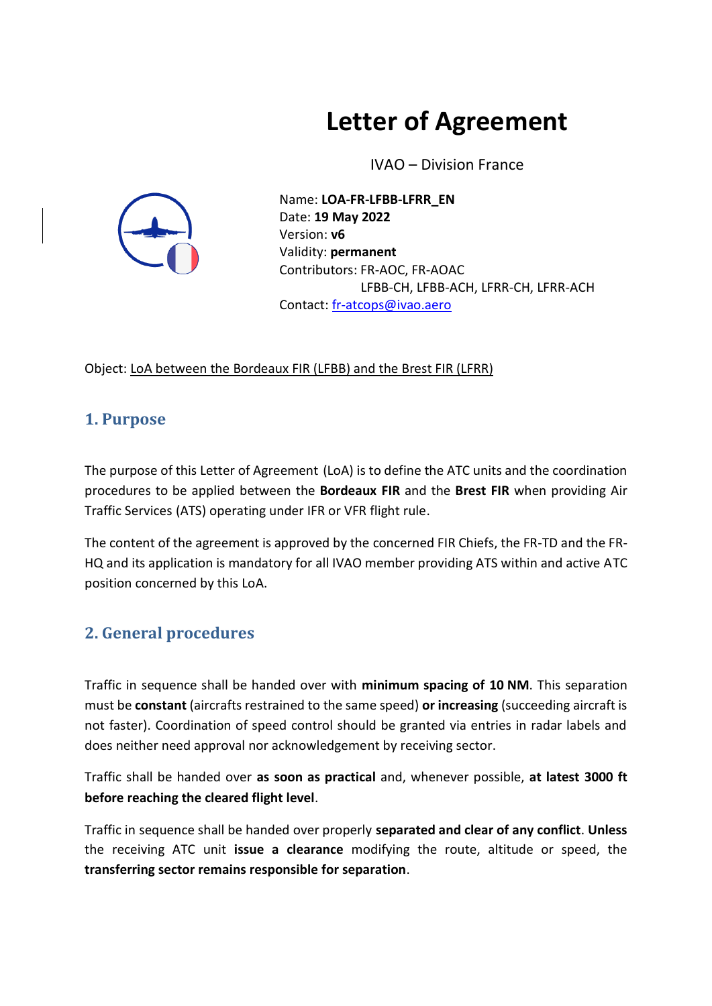# **Letter of Agreement**

IVAO – Division France



Name: **LOA-FR-LFBB-LFRR\_EN** Date: **19 May 2022** Version: **v6** Validity: **permanent** Contributors: FR-AOC, FR-AOAC LFBB-CH, LFBB-ACH, LFRR-CH, LFRR-ACH Contact: [fr-atcops@ivao.aero](mailto:fr-atcops@ivao.aero)

Object: LoA between the Bordeaux FIR (LFBB) and the Brest FIR (LFRR)

#### **1. Purpose**

The purpose of this Letter of Agreement (LoA) is to define the ATC units and the coordination procedures to be applied between the **Bordeaux FIR** and the **Brest FIR** when providing Air Traffic Services (ATS) operating under IFR or VFR flight rule.

The content of the agreement is approved by the concerned FIR Chiefs, the FR-TD and the FR-HQ and its application is mandatory for all IVAO member providing ATS within and active ATC position concerned by this LoA.

### **2. General procedures**

Traffic in sequence shall be handed over with **minimum spacing of 10 NM**. This separation must be **constant** (aircrafts restrained to the same speed) **or increasing** (succeeding aircraft is not faster). Coordination of speed control should be granted via entries in radar labels and does neither need approval nor acknowledgement by receiving sector.

Traffic shall be handed over **as soon as practical** and, whenever possible, **at latest 3000 ft before reaching the cleared flight level**.

Traffic in sequence shall be handed over properly **separated and clear of any conflict**. **Unless**  the receiving ATC unit **issue a clearance** modifying the route, altitude or speed, the **transferring sector remains responsible for separation**.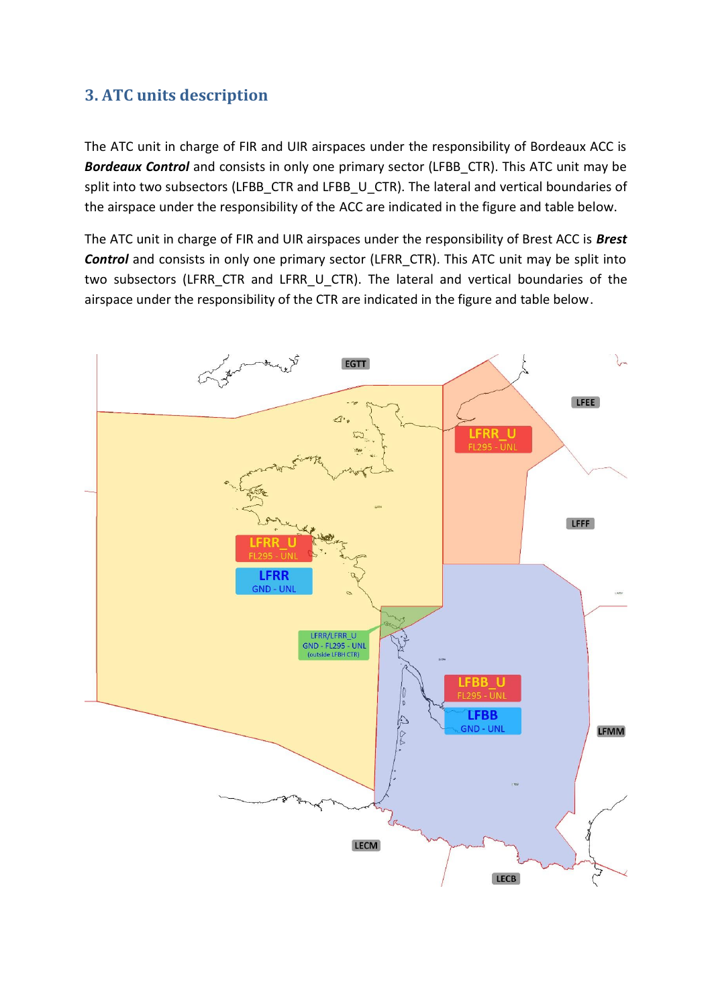#### **3. ATC units description**

The ATC unit in charge of FIR and UIR airspaces under the responsibility of Bordeaux ACC is **Bordeaux Control** and consists in only one primary sector (LFBB CTR). This ATC unit may be split into two subsectors (LFBB\_CTR and LFBB\_U\_CTR). The lateral and vertical boundaries of the airspace under the responsibility of the ACC are indicated in the figure and table below.

The ATC unit in charge of FIR and UIR airspaces under the responsibility of Brest ACC is *Brest*  **Control** and consists in only one primary sector (LFRR\_CTR). This ATC unit may be split into two subsectors (LFRR CTR and LFRR U CTR). The lateral and vertical boundaries of the airspace under the responsibility of the CTR are indicated in the figure and table below.

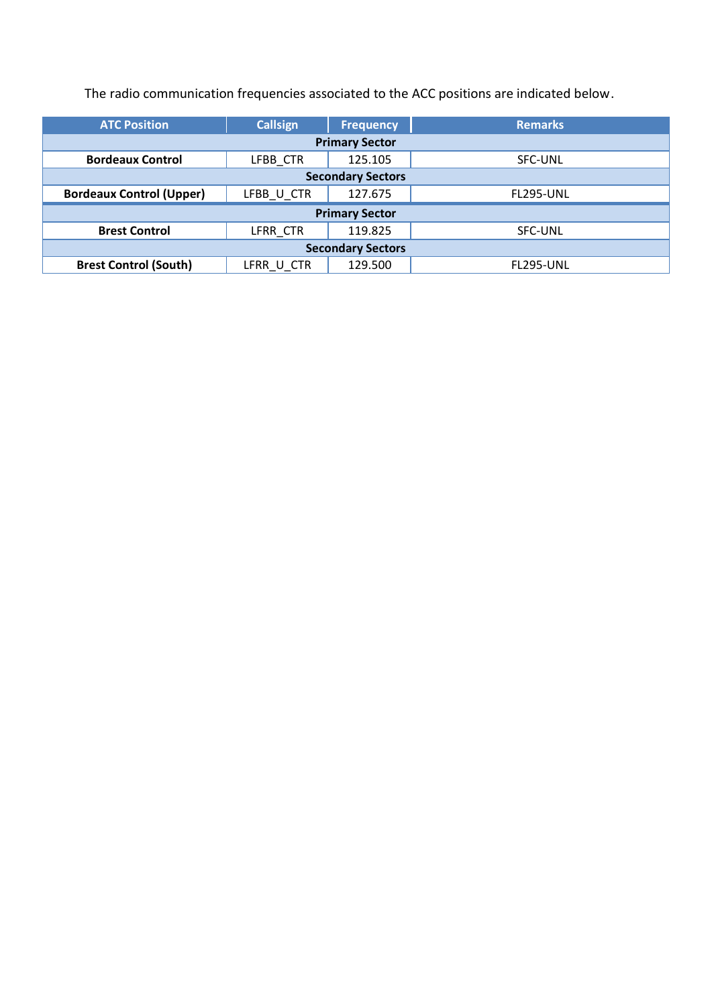The radio communication frequencies associated to the ACC positions are indicated below.

| <b>ATC Position</b>             | <b>Callsign</b> | <b>Frequency</b> | <b>Remarks</b>   |  |  |  |
|---------------------------------|-----------------|------------------|------------------|--|--|--|
| <b>Primary Sector</b>           |                 |                  |                  |  |  |  |
| <b>Bordeaux Control</b>         | LFBB CTR        | 125.105          | SFC-UNL          |  |  |  |
| <b>Secondary Sectors</b>        |                 |                  |                  |  |  |  |
| <b>Bordeaux Control (Upper)</b> | LFBB_U_CTR      | 127.675          | <b>FL295-UNL</b> |  |  |  |
| <b>Primary Sector</b>           |                 |                  |                  |  |  |  |
| <b>Brest Control</b>            | LFRR CTR        | 119.825          | SFC-UNL          |  |  |  |
| <b>Secondary Sectors</b>        |                 |                  |                  |  |  |  |
| <b>Brest Control (South)</b>    | LFRR U CTR      | 129.500          | <b>FL295-UNL</b> |  |  |  |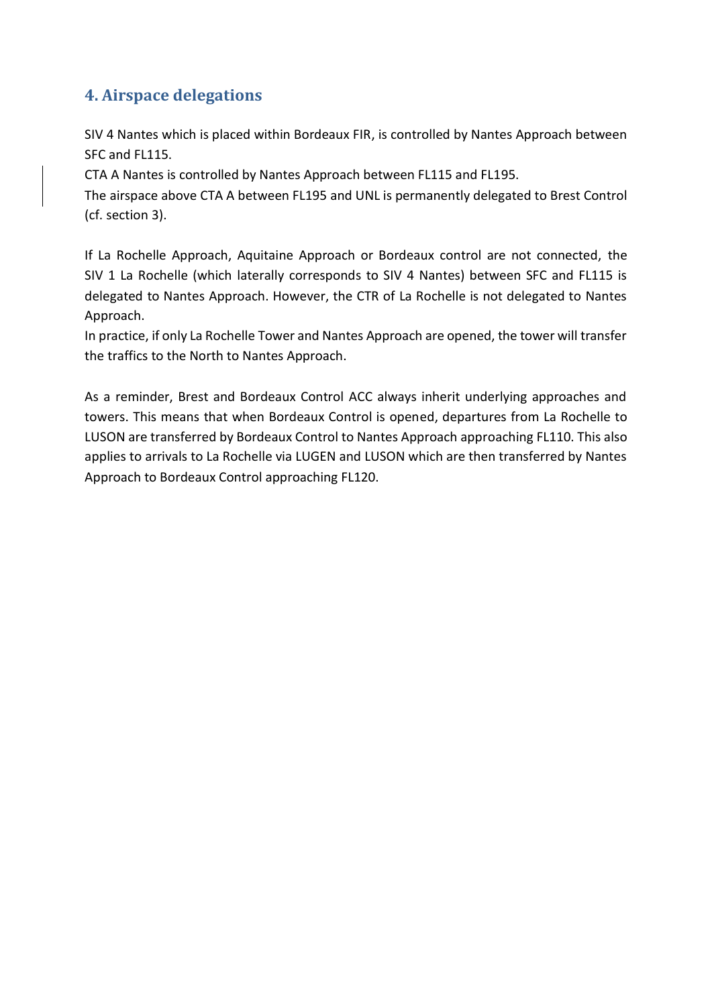### **4. Airspace delegations**

SIV 4 Nantes which is placed within Bordeaux FIR, is controlled by Nantes Approach between SFC and FL115.

CTA A Nantes is controlled by Nantes Approach between FL115 and FL195.

The airspace above CTA A between FL195 and UNL is permanently delegated to Brest Control (cf. section 3).

If La Rochelle Approach, Aquitaine Approach or Bordeaux control are not connected, the SIV 1 La Rochelle (which laterally corresponds to SIV 4 Nantes) between SFC and FL115 is delegated to Nantes Approach. However, the CTR of La Rochelle is not delegated to Nantes Approach.

In practice, if only La Rochelle Tower and Nantes Approach are opened, the tower will transfer the traffics to the North to Nantes Approach.

As a reminder, Brest and Bordeaux Control ACC always inherit underlying approaches and towers. This means that when Bordeaux Control is opened, departures from La Rochelle to LUSON are transferred by Bordeaux Control to Nantes Approach approaching FL110. This also applies to arrivals to La Rochelle via LUGEN and LUSON which are then transferred by Nantes Approach to Bordeaux Control approaching FL120.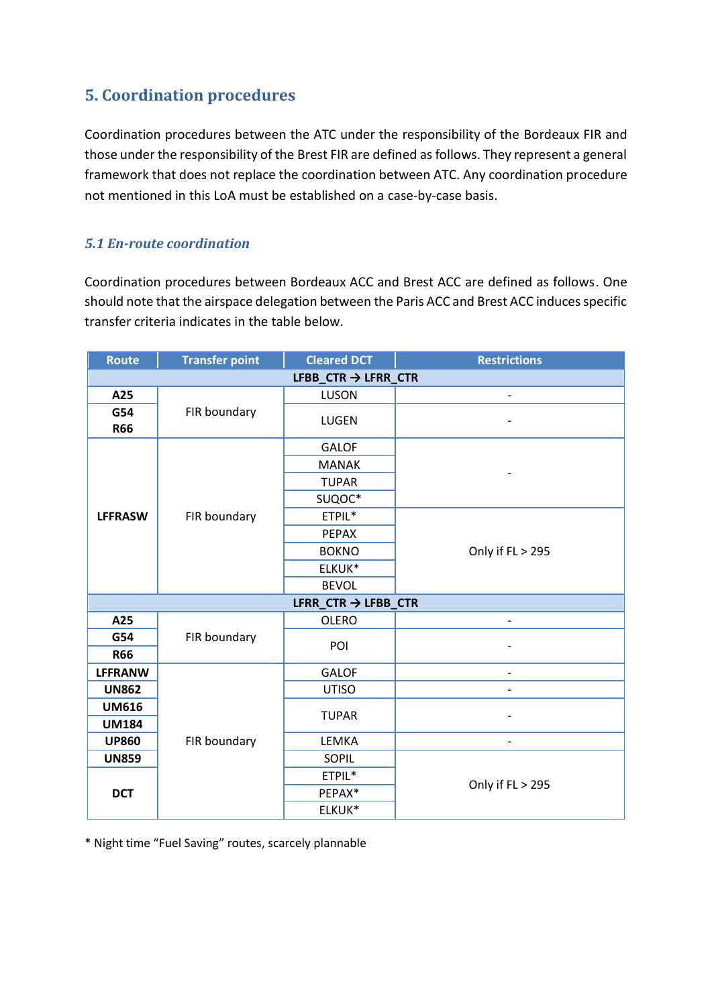#### **5. Coordination procedures**

Coordination procedures between the ATC under the responsibility of the Bordeaux FIR and those under the responsibility of the Brest FIR are defined as follows. They represent a general framework that does not replace the coordination between ATC. Any coordination procedure not mentioned in this LoA must be established on a case-by-case basis.

#### *5.1 En-route coordination*

Coordination procedures between Bordeaux ACC and Brest ACC are defined as follows. One should note that the airspace delegation between the Paris ACC and Brest ACC induces specific transfer criteria indicates in the table below.

| <b>Route</b>                    | <b>Transfer point</b> | <b>Cleared DCT</b>              | <b>Restrictions</b>      |  |  |  |
|---------------------------------|-----------------------|---------------------------------|--------------------------|--|--|--|
| LFBB CTR $\rightarrow$ LFRR CTR |                       |                                 |                          |  |  |  |
| A25                             |                       | <b>LUSON</b>                    |                          |  |  |  |
| G54<br><b>R66</b>               | FIR boundary          | LUGEN                           |                          |  |  |  |
|                                 |                       | <b>GALOF</b>                    |                          |  |  |  |
|                                 |                       | <b>MANAK</b>                    |                          |  |  |  |
|                                 |                       | <b>TUPAR</b>                    |                          |  |  |  |
|                                 |                       | SUQOC*                          |                          |  |  |  |
| <b>LFFRASW</b>                  | FIR boundary          | ETPIL*                          |                          |  |  |  |
|                                 |                       | PEPAX                           |                          |  |  |  |
|                                 |                       | <b>BOKNO</b>                    | Only if FL > 295         |  |  |  |
|                                 |                       | ELKUK*                          |                          |  |  |  |
|                                 |                       | <b>BEVOL</b>                    |                          |  |  |  |
|                                 |                       | LFRR $CTR \rightarrow LFBB$ CTR |                          |  |  |  |
| A25                             |                       | <b>OLERO</b>                    |                          |  |  |  |
| G54                             | FIR boundary          | POI                             |                          |  |  |  |
| <b>R66</b>                      |                       |                                 |                          |  |  |  |
| <b>LFFRANW</b>                  |                       | <b>GALOF</b>                    |                          |  |  |  |
| <b>UN862</b>                    |                       | <b>UTISO</b>                    |                          |  |  |  |
| <b>UM616</b>                    |                       | <b>TUPAR</b>                    |                          |  |  |  |
| <b>UM184</b>                    |                       |                                 |                          |  |  |  |
| <b>UP860</b>                    | FIR boundary          | LEMKA                           | $\overline{\phantom{0}}$ |  |  |  |
| <b>UN859</b>                    |                       | SOPIL                           | Only if FL > 295         |  |  |  |
| <b>DCT</b>                      |                       | ETPIL*                          |                          |  |  |  |
|                                 |                       | PEPAX*                          |                          |  |  |  |
|                                 |                       | ELKUK*                          |                          |  |  |  |

\* Night time "Fuel Saving" routes, scarcely plannable